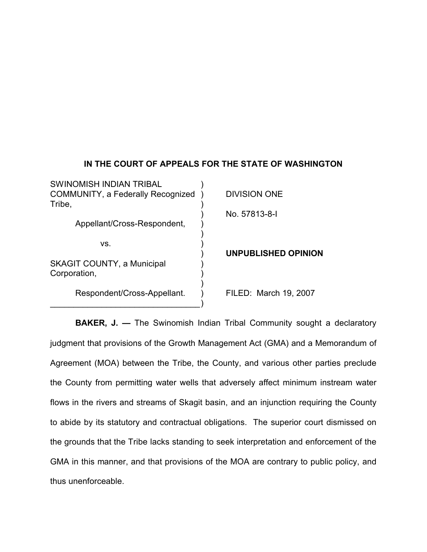## **IN THE COURT OF APPEALS FOR THE STATE OF WASHINGTON**

| SWINOMISH INDIAN TRIBAL<br><b>COMMUNITY, a Federally Recognized</b><br>Tribe, | <b>DIVISION ONE</b>   |
|-------------------------------------------------------------------------------|-----------------------|
| Appellant/Cross-Respondent,                                                   | No. 57813-8-1         |
| VS.                                                                           | UNPUBLISHED OPINION   |
| <b>SKAGIT COUNTY, a Municipal</b><br>Corporation,                             |                       |
| Respondent/Cross-Appellant.                                                   | FILED: March 19, 2007 |

**BAKER, J. -** The Swinomish Indian Tribal Community sought a declaratory judgment that provisions of the Growth Management Act (GMA) and a Memorandum of Agreement (MOA) between the Tribe, the County, and various other parties preclude the County from permitting water wells that adversely affect minimum instream water flows in the rivers and streams of Skagit basin, and an injunction requiring the County to abide by its statutory and contractual obligations. The superior court dismissed on the grounds that the Tribe lacks standing to seek interpretation and enforcement of the GMA in this manner, and that provisions of the MOA are contrary to public policy, and thus unenforceable.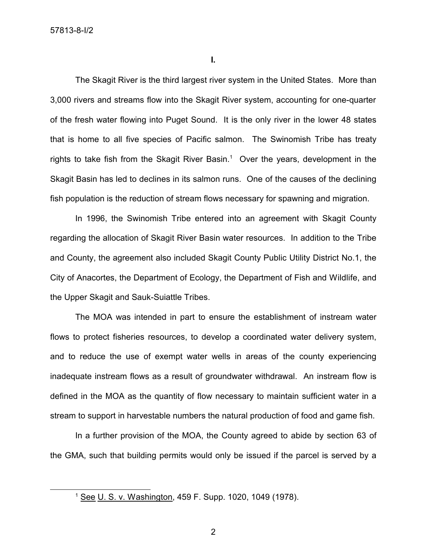57813-8-I/2

**I.**

The Skagit River is the third largest river system in the United States. More than 3,000 rivers and streams flow into the Skagit River system, accounting for one-quarter of the fresh water flowing into Puget Sound. It is the only river in the lower 48 states that is home to all five species of Pacific salmon. The Swinomish Tribe has treaty rights to take fish from the Skagit River Basin.<sup>1</sup> Over the years, development in the Skagit Basin has led to declines in its salmon runs. One of the causes of the declining fish population is the reduction of stream flows necessary for spawning and migration.

In 1996, the Swinomish Tribe entered into an agreement with Skagit County regarding the allocation of Skagit River Basin water resources. In addition to the Tribe and County, the agreement also included Skagit County Public Utility District No.1, the City of Anacortes, the Department of Ecology, the Department of Fish and Wildlife, and the Upper Skagit and Sauk-Suiattle Tribes.

The MOA was intended in part to ensure the establishment of instream water flows to protect fisheries resources, to develop a coordinated water delivery system, and to reduce the use of exempt water wells in areas of the county experiencing inadequate instream flows as a result of groundwater withdrawal. An instream flow is defined in the MOA as the quantity of flow necessary to maintain sufficient water in a stream to support in harvestable numbers the natural production of food and game fish.

In a further provision of the MOA, the County agreed to abide by section 63 of the GMA, such that building permits would only be issued if the parcel is served by a

<sup>1</sup> See U. S. v. Washington, 459 F. Supp. 1020, 1049 (1978).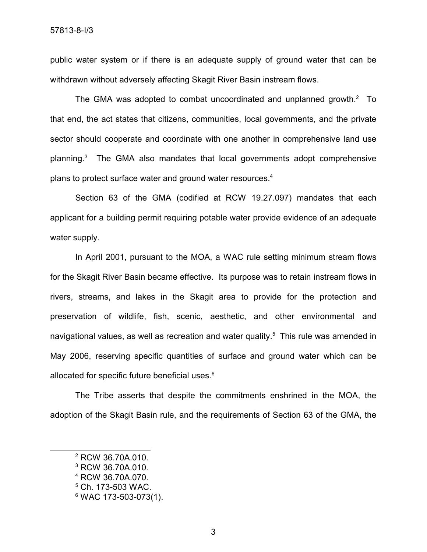public water system or if there is an adequate supply of ground water that can be withdrawn without adversely affecting Skagit River Basin instream flows.

The GMA was adopted to combat uncoordinated and unplanned growth. $2$  To that end, the act states that citizens, communities, local governments, and the private sector should cooperate and coordinate with one another in comprehensive land use planning. $3$  The GMA also mandates that local governments adopt comprehensive plans to protect surface water and ground water resources. 4

Section 63 of the GMA (codified at RCW 19.27.097) mandates that each applicant for a building permit requiring potable water provide evidence of an adequate water supply.

In April 2001, pursuant to the MOA, a WAC rule setting minimum stream flows for the Skagit River Basin became effective. Its purpose was to retain instream flows in rivers, streams, and lakes in the Skagit area to provide for the protection and preservation of wildlife, fish, scenic, aesthetic, and other environmental and navigational values, as well as recreation and water quality. <sup>5</sup> This rule was amended in May 2006, reserving specific quantities of surface and ground water which can be allocated for specific future beneficial uses.<sup>6</sup>

The Tribe asserts that despite the commitments enshrined in the MOA, the adoption of the Skagit Basin rule, and the requirements of Section 63 of the GMA, the

<sup>2</sup> RCW 36.70A.010.

<sup>3</sup> RCW 36.70A.010.

<sup>4</sup> RCW 36.70A.070.

<sup>5</sup> Ch. 173-503 WAC.

<sup>6</sup> WAC 173-503-073(1).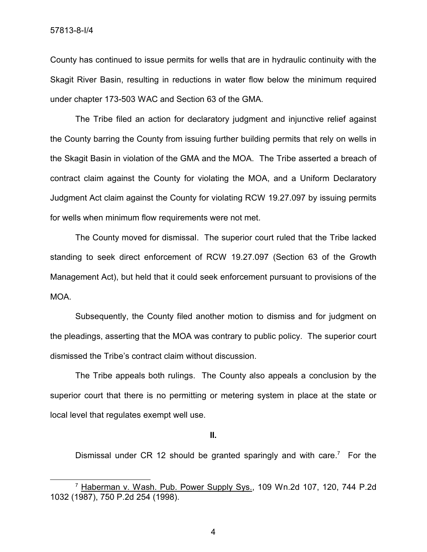County has continued to issue permits for wells that are in hydraulic continuity with the Skagit River Basin, resulting in reductions in water flow below the minimum required under chapter 173-503 WAC and Section 63 of the GMA.

The Tribe filed an action for declaratory judgment and injunctive relief against the County barring the County from issuing further building permits that rely on wells in the Skagit Basin in violation of the GMA and the MOA. The Tribe asserted a breach of contract claim against the County for violating the MOA, and a Uniform Declaratory Judgment Act claim against the County for violating RCW 19.27.097 by issuing permits for wells when minimum flow requirements were not met.

The County moved for dismissal. The superior court ruled that the Tribe lacked standing to seek direct enforcement of RCW 19.27.097 (Section 63 of the Growth Management Act), but held that it could seek enforcement pursuant to provisions of the MOA.

Subsequently, the County filed another motion to dismiss and for judgment on the pleadings, asserting that the MOA was contrary to public policy. The superior court dismissed the Tribe's contract claim without discussion.

The Tribe appeals both rulings. The County also appeals a conclusion by the superior court that there is no permitting or metering system in place at the state or local level that regulates exempt well use.

**II.**

Dismissal under CR 12 should be granted sparingly and with care.<sup>7</sup> For the

4

<sup>7</sup> Haberman v. Wash. Pub. Power Supply Sys., 109 Wn.2d 107, 120, 744 P.2d 1032 (1987), 750 P.2d 254 (1998).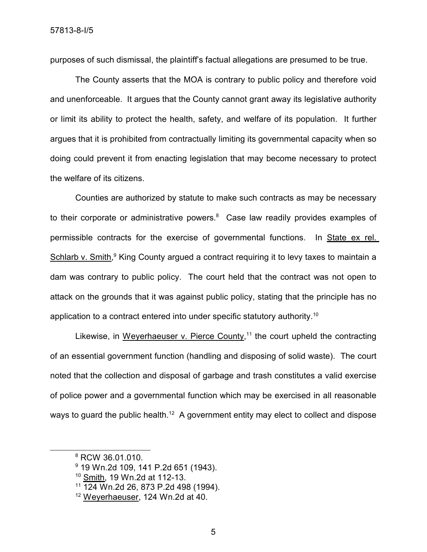purposes of such dismissal, the plaintiff's factual allegations are presumed to be true.

The County asserts that the MOA is contrary to public policy and therefore void and unenforceable. It argues that the County cannot grant away its legislative authority or limit its ability to protect the health, safety, and welfare of its population. It further argues that it is prohibited from contractually limiting its governmental capacity when so doing could prevent it from enacting legislation that may become necessary to protect the welfare of its citizens.

Counties are authorized by statute to make such contracts as may be necessary to their corporate or administrative powers.<sup>8</sup> Case law readily provides examples of permissible contracts for the exercise of governmental functions. In State ex rel. Schlarb v. Smith,<sup>9</sup> King County argued a contract requiring it to levy taxes to maintain a dam was contrary to public policy. The court held that the contract was not open to attack on the grounds that it was against public policy, stating that the principle has no application to a contract entered into under specific statutory authority.<sup>10</sup>

Likewise, in Weyerhaeuser v. Pierce County,<sup>11</sup> the court upheld the contracting of an essential government function (handling and disposing of solid waste). The court noted that the collection and disposal of garbage and trash constitutes a valid exercise of police power and a governmental function which may be exercised in all reasonable ways to guard the public health.<sup>12</sup> A government entity may elect to collect and dispose

<sup>8</sup> RCW 36.01.010.

<sup>9</sup> 19 Wn.2d 109, 141 P.2d 651 (1943).

<sup>10</sup> Smith, 19 Wn.2d at 112-13.

<sup>11</sup> 124 Wn.2d 26, 873 P.2d 498 (1994).

<sup>12</sup> Weyerhaeuser, 124 Wn.2d at 40.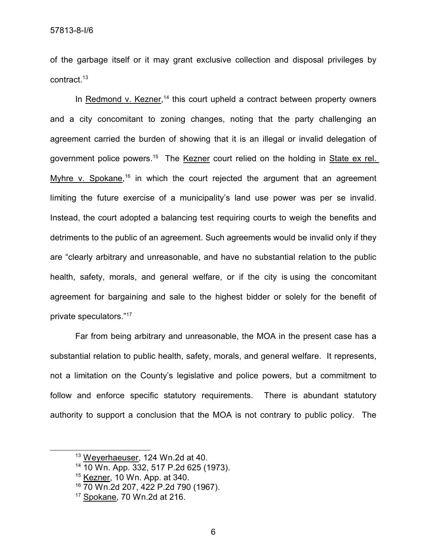of the garbage itself or it may grant exclusive collection and disposal privileges by contract. 13

In Redmond v. Kezner,<sup>14</sup> this court upheld a contract between property owners and a city concomitant to zoning changes, noting that the party challenging an agreement carried the burden of showing that it is an illegal or invalid delegation of government police powers.<sup>15</sup> The Kezner court relied on the holding in State ex rel. Myhre v. Spokane,<sup>16</sup> in which the court rejected the argument that an agreement limiting the future exercise of a municipality's land use power was per se invalid. Instead, the court adopted a balancing test requiring courts to weigh the benefits and detriments to the public of an agreement. Such agreements would be invalid only if they are "clearly arbitrary and unreasonable, and have no substantial relation to the public health, safety, morals, and general welfare, or if the city is using the concomitant agreement for bargaining and sale to the highest bidder or solely for the benefit of private speculators." 17

Far from being arbitrary and unreasonable, the MOA in the present case has a substantial relation to public health, safety, morals, and general welfare. It represents, not a limitation on the County's legislative and police powers, but a commitment to follow and enforce specific statutory requirements. There is abundant statutory authority to support a conclusion that the MOA is not contrary to public policy. The

<sup>13</sup> Weyerhaeuser, 124 Wn.2d at 40.

<sup>14</sup> 10 Wn. App. 332, 517 P.2d 625 (1973).

<sup>15</sup> Kezner, 10 Wn. App. at 340.

<sup>16</sup> 70 Wn.2d 207, 422 P.2d 790 (1967).

<sup>17</sup> Spokane, 70 Wn.2d at 216.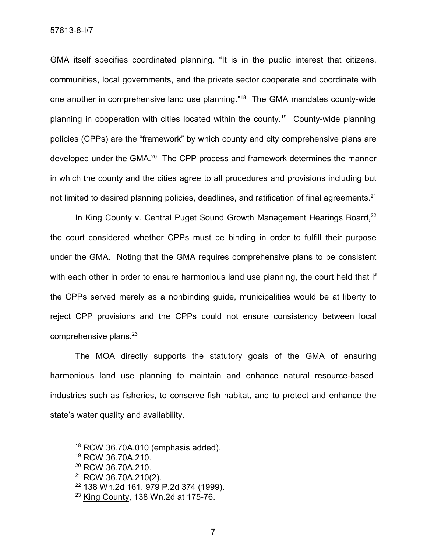57813-8-I/7

GMA itself specifies coordinated planning. "It is in the public interest that citizens, communities, local governments, and the private sector cooperate and coordinate with one another in comprehensive land use planning."<sup>18</sup> The GMA mandates county-wide planning in cooperation with cities located within the county.<sup>19</sup> County-wide planning policies (CPPs) are the "framework" by which county and city comprehensive plans are developed under the GMA.<sup>20</sup> The CPP process and framework determines the manner in which the county and the cities agree to all procedures and provisions including but not limited to desired planning policies, deadlines, and ratification of final agreements.<sup>21</sup>

In King County v. Central Puget Sound Growth Management Hearings Board,<sup>22</sup> the court considered whether CPPs must be binding in order to fulfill their purpose under the GMA. Noting that the GMA requires comprehensive plans to be consistent with each other in order to ensure harmonious land use planning, the court held that if the CPPs served merely as a nonbinding guide, municipalities would be at liberty to reject CPP provisions and the CPPs could not ensure consistency between local comprehensive plans.<sup>23</sup>

The MOA directly supports the statutory goals of the GMA of ensuring harmonious land use planning to maintain and enhance natural resource-based industries such as fisheries, to conserve fish habitat, and to protect and enhance the state's water quality and availability.

 $18$  RCW 36.70A.010 (emphasis added).

<sup>19</sup> RCW 36.70A.210.

<sup>&</sup>lt;sup>20</sup> RCW 36.70A.210.

<sup>21</sup> RCW 36.70A.210(2).

<sup>22</sup> 138 Wn.2d 161, 979 P.2d 374 (1999).

 $23$  King County, 138 Wn.2d at 175-76.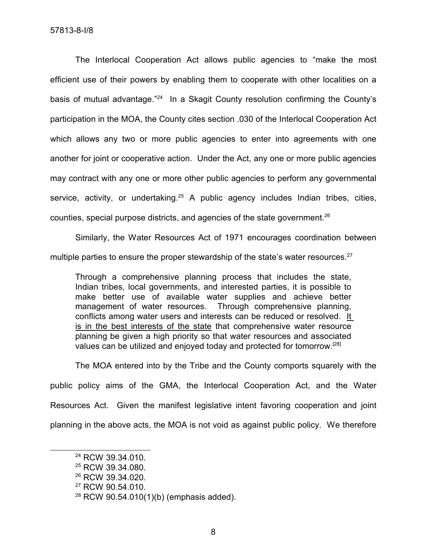The Interlocal Cooperation Act allows public agencies to "make the most efficient use of their powers by enabling them to cooperate with other localities on a basis of mutual advantage."<sup>24</sup> In a Skagit County resolution confirming the County's participation in the MOA, the County cites section .030 of the Interlocal Cooperation Act which allows any two or more public agencies to enter into agreements with one another for joint or cooperative action. Under the Act, any one or more public agencies may contract with any one or more other public agencies to perform any governmental service, activity, or undertaking.<sup>25</sup> A public agency includes Indian tribes, cities, counties, special purpose districts, and agencies of the state government.<sup>26</sup>

Similarly, the Water Resources Act of 1971 encourages coordination between multiple parties to ensure the proper stewardship of the state's water resources.<sup>27</sup>

Through a comprehensive planning process that includes the state, Indian tribes, local governments, and interested parties, it is possible to make better use of available water supplies and achieve better management of water resources. Through comprehensive planning, conflicts among water users and interests can be reduced or resolved. It is in the best interests of the state that comprehensive water resource planning be given a high priority so that water resources and associated values can be utilized and enjoyed today and protected for tomorrow.<sup>[28]</sup>

The MOA entered into by the Tribe and the County comports squarely with the public policy aims of the GMA, the Interlocal Cooperation Act, and the Water Resources Act. Given the manifest legislative intent favoring cooperation and joint planning in the above acts, the MOA is not void as against public policy. We therefore

<sup>27</sup> RCW 90.54.010.

<sup>&</sup>lt;sup>24</sup> RCW 39.34.010.

<sup>&</sup>lt;sup>25</sup> RCW 39.34.080.

<sup>&</sup>lt;sup>26</sup> RCW 39.34.020.

 $28$  RCW 90.54.010(1)(b) (emphasis added).